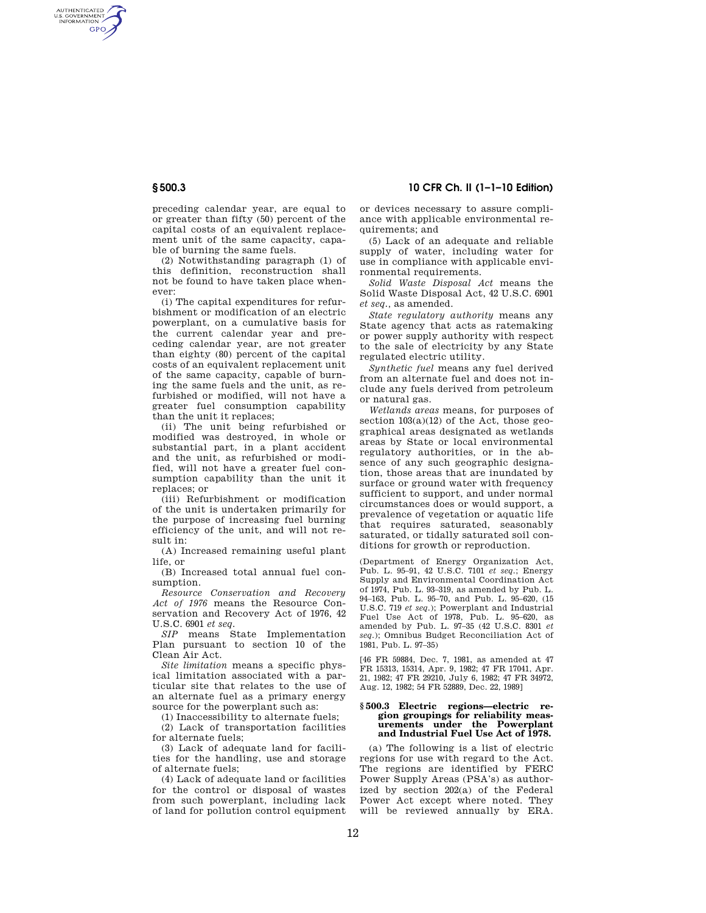AUTHENTICATED<br>U.S. GOVERNMENT<br>INFORMATION **GPO** 

**§ 500.3 10 CFR Ch. II (1–1–10 Edition)** 

preceding calendar year, are equal to or greater than fifty (50) percent of the capital costs of an equivalent replacement unit of the same capacity, capable of burning the same fuels.

(2) Notwithstanding paragraph (1) of this definition, reconstruction shall not be found to have taken place whenever:

(i) The capital expenditures for refurbishment or modification of an electric powerplant, on a cumulative basis for the current calendar year and preceding calendar year, are not greater than eighty (80) percent of the capital costs of an equivalent replacement unit of the same capacity, capable of burning the same fuels and the unit, as refurbished or modified, will not have a greater fuel consumption capability than the unit it replaces;

(ii) The unit being refurbished or modified was destroyed, in whole or substantial part, in a plant accident and the unit, as refurbished or modified, will not have a greater fuel consumption capability than the unit it replaces; or

(iii) Refurbishment or modification of the unit is undertaken primarily for the purpose of increasing fuel burning efficiency of the unit, and will not result in:

(A) Increased remaining useful plant life, or

(B) Increased total annual fuel consumption.

*Resource Conservation and Recovery Act of 1976* means the Resource Conservation and Recovery Act of 1976, 42 U.S.C. 6901 *et seq.* 

*SIP* means State Implementation Plan pursuant to section 10 of the Clean Air Act.

*Site limitation* means a specific physical limitation associated with a particular site that relates to the use of an alternate fuel as a primary energy source for the powerplant such as:

(1) Inaccessibility to alternate fuels;

(2) Lack of transportation facilities for alternate fuels;

(3) Lack of adequate land for facilities for the handling, use and storage of alternate fuels;

(4) Lack of adequate land or facilities for the control or disposal of wastes from such powerplant, including lack of land for pollution control equipment or devices necessary to assure compliance with applicable environmental requirements; and

(5) Lack of an adequate and reliable supply of water, including water for use in compliance with applicable environmental requirements.

*Solid Waste Disposal Act* means the Solid Waste Disposal Act, 42 U.S.C. 6901 *et seq.,* as amended.

*State regulatory authority* means any State agency that acts as ratemaking or power supply authority with respect to the sale of electricity by any State regulated electric utility.

*Synthetic fuel* means any fuel derived from an alternate fuel and does not include any fuels derived from petroleum or natural gas.

*Wetlands areas* means, for purposes of section 103(a)(12) of the Act, those geographical areas designated as wetlands areas by State or local environmental regulatory authorities, or in the absence of any such geographic designation, those areas that are inundated by surface or ground water with frequency sufficient to support, and under normal circumstances does or would support, a prevalence of vegetation or aquatic life that requires saturated, seasonably saturated, or tidally saturated soil conditions for growth or reproduction.

(Department of Energy Organization Act, Pub. L. 95–91, 42 U.S.C. 7101 *et seq.*; Energy Supply and Environmental Coordination Act of 1974, Pub. L. 93–319, as amended by Pub. L. 94–163, Pub. L. 95–70, and Pub. L. 95–620, (15 U.S.C. 719 *et seq.*); Powerplant and Industrial Fuel Use Act of 1978, Pub. L. 95–620, as amended by Pub. L. 97–35 (42 U.S.C. 8301 *et seq.*); Omnibus Budget Reconciliation Act of 1981, Pub. L. 97–35)

[46 FR 59884, Dec. 7, 1981, as amended at 47 FR 15313, 15314, Apr. 9, 1982; 47 FR 17041, Apr. 21, 1982; 47 FR 29210, July 6, 1982; 47 FR 34972, Aug. 12, 1982; 54 FR 52889, Dec. 22, 1989]

### **§ 500.3 Electric regions—electric region groupings for reliability measurements under the Powerplant and Industrial Fuel Use Act of 1978.**

(a) The following is a list of electric regions for use with regard to the Act. The regions are identified by FERC Power Supply Areas (PSA's) as authorized by section 202(a) of the Federal Power Act except where noted. They will be reviewed annually by ERA.